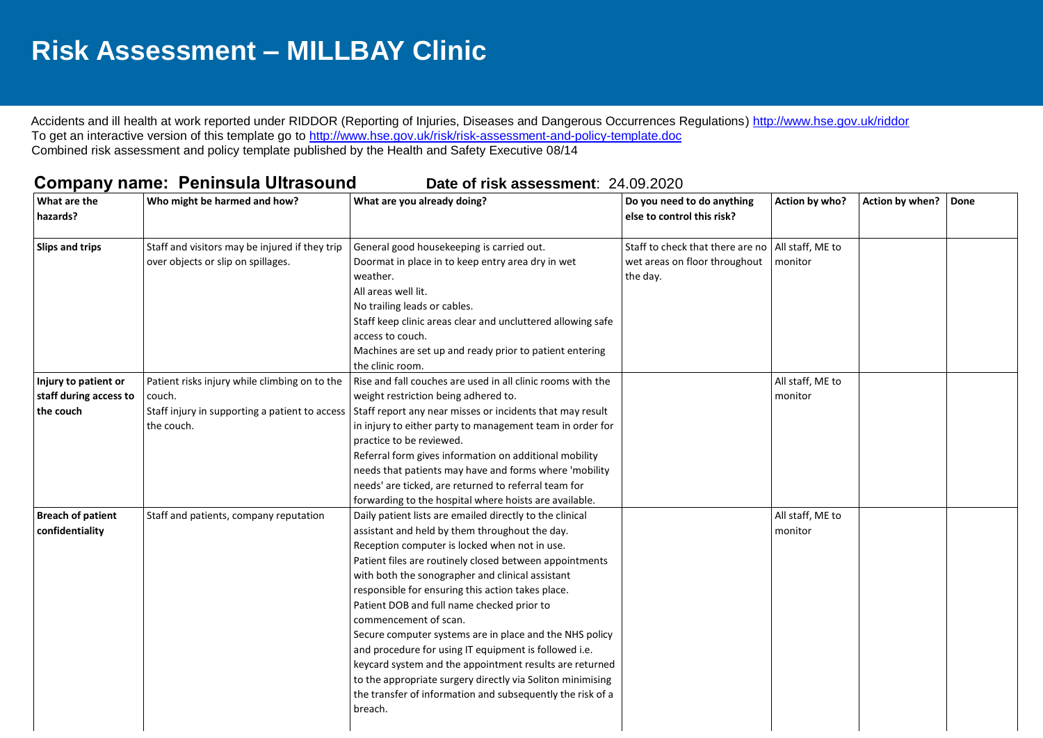## **Risk Assessment – MILLBAY Clinic**

Accidents and ill health at work reported under RIDDOR (Reporting of Injuries, Diseases and Dangerous Occurrences Regulations)<http://www.hse.gov.uk/riddor> To get an interactive version of this template go to<http://www.hse.gov.uk/risk/risk-assessment-and-policy-template.doc> Combined risk assessment and policy template published by the Health and Safety Executive 08/14

## **Company name: Peninsula Ultrasound Date of risk assessment: 24.09.2020**

| What are the<br>hazards?                                    | Who might be harmed and how?                                                                                            | What are you already doing?                                                                                                                                                                                                                                                                                                                                                                                                                                                                                                                                                                                                                                                                                                  | Do you need to do anything<br>else to control this risk?                                         | Action by who?              | Action by when? | Done |
|-------------------------------------------------------------|-------------------------------------------------------------------------------------------------------------------------|------------------------------------------------------------------------------------------------------------------------------------------------------------------------------------------------------------------------------------------------------------------------------------------------------------------------------------------------------------------------------------------------------------------------------------------------------------------------------------------------------------------------------------------------------------------------------------------------------------------------------------------------------------------------------------------------------------------------------|--------------------------------------------------------------------------------------------------|-----------------------------|-----------------|------|
| <b>Slips and trips</b>                                      | Staff and visitors may be injured if they trip<br>over objects or slip on spillages.                                    | General good housekeeping is carried out.<br>Doormat in place in to keep entry area dry in wet<br>weather.<br>All areas well lit.<br>No trailing leads or cables.<br>Staff keep clinic areas clear and uncluttered allowing safe<br>access to couch.<br>Machines are set up and ready prior to patient entering<br>the clinic room.                                                                                                                                                                                                                                                                                                                                                                                          | Staff to check that there are no   All staff, ME to<br>wet areas on floor throughout<br>the day. | monitor                     |                 |      |
| Injury to patient or<br>staff during access to<br>the couch | Patient risks injury while climbing on to the<br>couch.<br>Staff injury in supporting a patient to access<br>the couch. | Rise and fall couches are used in all clinic rooms with the<br>weight restriction being adhered to.<br>Staff report any near misses or incidents that may result<br>in injury to either party to management team in order for<br>practice to be reviewed.<br>Referral form gives information on additional mobility<br>needs that patients may have and forms where 'mobility<br>needs' are ticked, are returned to referral team for<br>forwarding to the hospital where hoists are available.                                                                                                                                                                                                                              |                                                                                                  | All staff, ME to<br>monitor |                 |      |
| <b>Breach of patient</b><br>confidentiality                 | Staff and patients, company reputation                                                                                  | Daily patient lists are emailed directly to the clinical<br>assistant and held by them throughout the day.<br>Reception computer is locked when not in use.<br>Patient files are routinely closed between appointments<br>with both the sonographer and clinical assistant<br>responsible for ensuring this action takes place.<br>Patient DOB and full name checked prior to<br>commencement of scan.<br>Secure computer systems are in place and the NHS policy<br>and procedure for using IT equipment is followed i.e.<br>keycard system and the appointment results are returned<br>to the appropriate surgery directly via Soliton minimising<br>the transfer of information and subsequently the risk of a<br>breach. |                                                                                                  | All staff, ME to<br>monitor |                 |      |